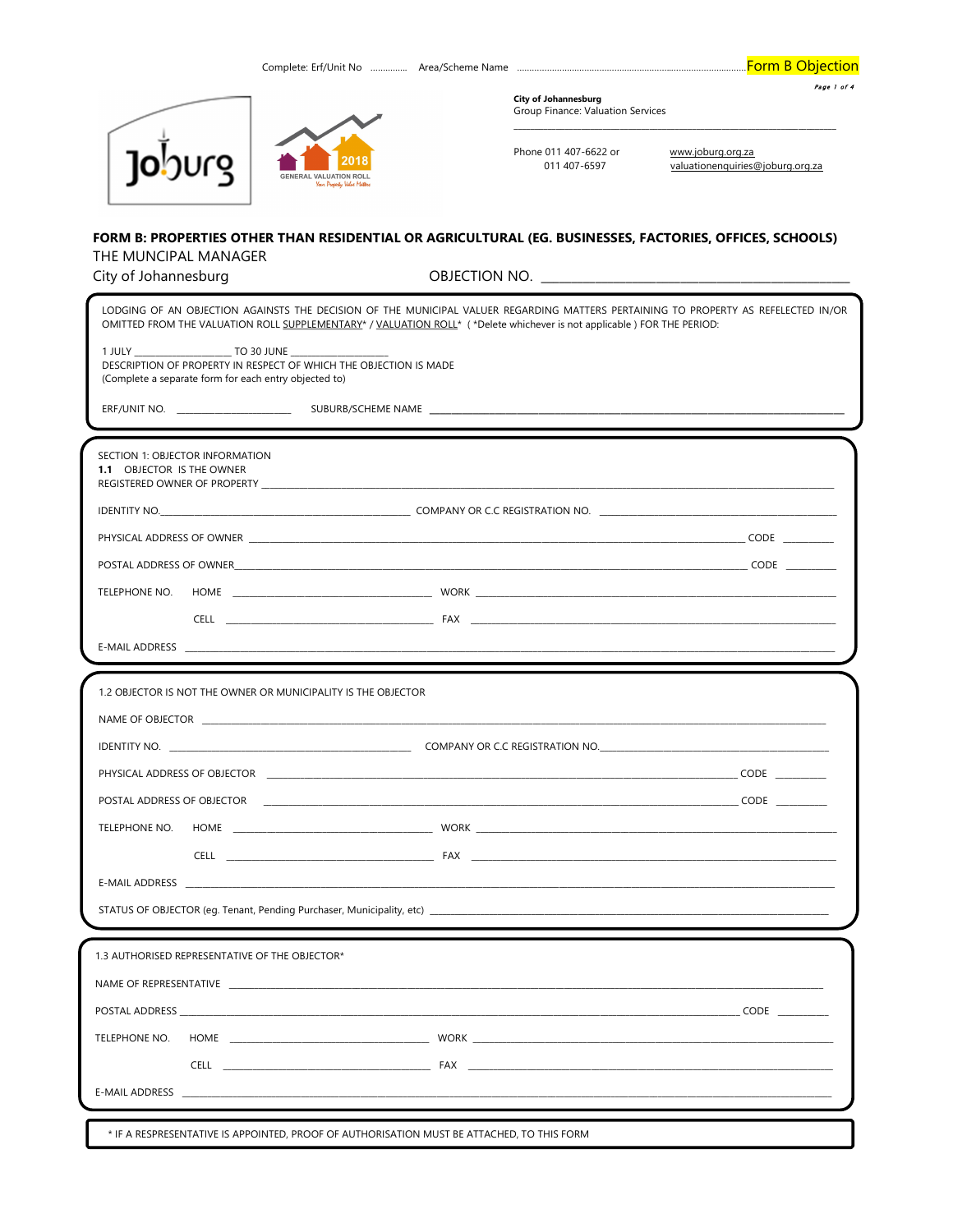**Form B Objection** 

|                                                                      | <b>City of Johannesburg</b><br>Group Finance: Valuation Services | Page 1 of 4                                           |
|----------------------------------------------------------------------|------------------------------------------------------------------|-------------------------------------------------------|
| 2018<br><b>GENERAL VALUATION ROLL</b><br>Your Property Value Matters | Phone 011 407-6622 or<br>011 407-6597                            | www.joburg.org.za<br>valuationenguiries@joburg.org.za |

## FORM B: PROPERTIES OTHER THAN RESIDENTIAL OR AGRICULTURAL (EG. BUSINESSES, FACTORIES, OFFICES, SCHOOLS) THE MUNCIPAL MANAGER

|  | City of Johannesburg |
|--|----------------------|

OBJECTION NO.

|                                                                                                                                                                                                                                     | LODGING OF AN OBJECTION AGAINSTS THE DECISION OF THE MUNICIPAL VALUER REGARDING MATTERS PERTAINING TO PROPERTY AS REFELECTED IN/OR<br>OMITTED FROM THE VALUATION ROLL SUPPLEMENTARY* / VALUATION ROLL* (*Delete whichever is not applicable ) FOR THE PERIOD: |  |
|-------------------------------------------------------------------------------------------------------------------------------------------------------------------------------------------------------------------------------------|---------------------------------------------------------------------------------------------------------------------------------------------------------------------------------------------------------------------------------------------------------------|--|
| DESCRIPTION OF PROPERTY IN RESPECT OF WHICH THE OBJECTION IS MADE<br>(Complete a separate form for each entry objected to)                                                                                                          |                                                                                                                                                                                                                                                               |  |
|                                                                                                                                                                                                                                     |                                                                                                                                                                                                                                                               |  |
|                                                                                                                                                                                                                                     |                                                                                                                                                                                                                                                               |  |
| SECTION 1: OBJECTOR INFORMATION<br><b>1.1 OBJECTOR IS THE OWNER</b>                                                                                                                                                                 | REGISTERED OWNER OF PROPERTY AND THE SERVICE OF STATE OF THE SERVICE OF THE SERVICE OF PROPERTY                                                                                                                                                               |  |
|                                                                                                                                                                                                                                     |                                                                                                                                                                                                                                                               |  |
|                                                                                                                                                                                                                                     |                                                                                                                                                                                                                                                               |  |
|                                                                                                                                                                                                                                     |                                                                                                                                                                                                                                                               |  |
|                                                                                                                                                                                                                                     |                                                                                                                                                                                                                                                               |  |
|                                                                                                                                                                                                                                     |                                                                                                                                                                                                                                                               |  |
|                                                                                                                                                                                                                                     |                                                                                                                                                                                                                                                               |  |
|                                                                                                                                                                                                                                     |                                                                                                                                                                                                                                                               |  |
| 1.2 OBJECTOR IS NOT THE OWNER OR MUNICIPALITY IS THE OBJECTOR                                                                                                                                                                       |                                                                                                                                                                                                                                                               |  |
|                                                                                                                                                                                                                                     | NAME OF OBJECTOR THE RESERVED OF STATE AND THE STATE OF STATE OF STATE OF OBJECTOR.                                                                                                                                                                           |  |
|                                                                                                                                                                                                                                     |                                                                                                                                                                                                                                                               |  |
|                                                                                                                                                                                                                                     |                                                                                                                                                                                                                                                               |  |
|                                                                                                                                                                                                                                     |                                                                                                                                                                                                                                                               |  |
|                                                                                                                                                                                                                                     |                                                                                                                                                                                                                                                               |  |
|                                                                                                                                                                                                                                     |                                                                                                                                                                                                                                                               |  |
|                                                                                                                                                                                                                                     |                                                                                                                                                                                                                                                               |  |
|                                                                                                                                                                                                                                     |                                                                                                                                                                                                                                                               |  |
|                                                                                                                                                                                                                                     |                                                                                                                                                                                                                                                               |  |
| 1.3 AUTHORISED REPRESENTATIVE OF THE OBJECTOR*                                                                                                                                                                                      |                                                                                                                                                                                                                                                               |  |
| NAME OF REPRESENTATIVE                                                                                                                                                                                                              |                                                                                                                                                                                                                                                               |  |
|                                                                                                                                                                                                                                     |                                                                                                                                                                                                                                                               |  |
|                                                                                                                                                                                                                                     |                                                                                                                                                                                                                                                               |  |
|                                                                                                                                                                                                                                     | CELL <b>EXAMPLE 2006 TO A REPORT OF STAR</b> FAX                                                                                                                                                                                                              |  |
| E-MAIL ADDRESS <b>Example 20</b> Second 20 AM 20 Second 20 AM 20 AM 20 Second 20 AM 20 AM 20 Second 20 AM 20 AM 20 Second 20 AM 20 AM 20 Second 20 AM 20 AM 20 Second 20 AM 20 AM 20 AM 20 AM 20 AM 20 AM 20 AM 20 AM 20 AM 20 AM 2 |                                                                                                                                                                                                                                                               |  |
|                                                                                                                                                                                                                                     |                                                                                                                                                                                                                                                               |  |
|                                                                                                                                                                                                                                     | * IF A RESPRESENTATIVE IS APPOINTED. PROOF OF AUTHORISATION MUST BE ATTACHED. TO THIS FORM                                                                                                                                                                    |  |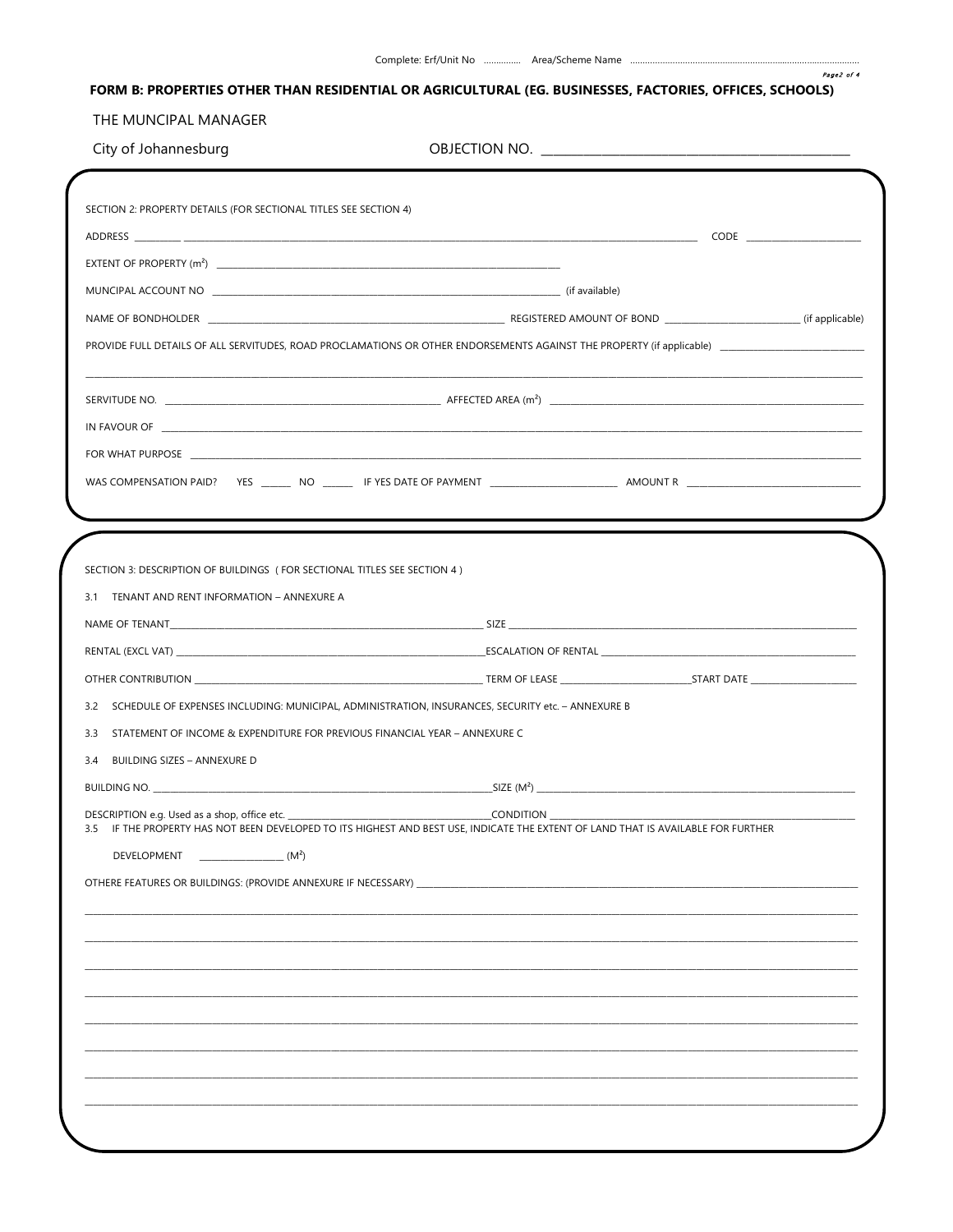## FORM B: PROPERTIES OTHER THAN RESIDENTIAL OR AGRICULTURAL (EG. BUSINESSES, FACTORIES, OFFICES, SCHOOLS)

## THE MUNCIPAL MANAGER

| City of Johannesburg |  |  |
|----------------------|--|--|
|----------------------|--|--|

 $\mathcal{L}$ 

| SECTION 3: DESCRIPTION OF BUILDINGS (FOR SECTIONAL TITLES SEE SECTION 4)                                                                        |                                                                                                                                                                                                                                                                                                                                                                                                                                                                                      |
|-------------------------------------------------------------------------------------------------------------------------------------------------|--------------------------------------------------------------------------------------------------------------------------------------------------------------------------------------------------------------------------------------------------------------------------------------------------------------------------------------------------------------------------------------------------------------------------------------------------------------------------------------|
| 3.1 TENANT AND RENT INFORMATION - ANNEXURE A                                                                                                    |                                                                                                                                                                                                                                                                                                                                                                                                                                                                                      |
|                                                                                                                                                 |                                                                                                                                                                                                                                                                                                                                                                                                                                                                                      |
|                                                                                                                                                 |                                                                                                                                                                                                                                                                                                                                                                                                                                                                                      |
|                                                                                                                                                 |                                                                                                                                                                                                                                                                                                                                                                                                                                                                                      |
|                                                                                                                                                 |                                                                                                                                                                                                                                                                                                                                                                                                                                                                                      |
|                                                                                                                                                 |                                                                                                                                                                                                                                                                                                                                                                                                                                                                                      |
| STATEMENT OF INCOME & EXPENDITURE FOR PREVIOUS FINANCIAL YEAR - ANNEXURE C                                                                      |                                                                                                                                                                                                                                                                                                                                                                                                                                                                                      |
|                                                                                                                                                 |                                                                                                                                                                                                                                                                                                                                                                                                                                                                                      |
| 3.2 SCHEDULE OF EXPENSES INCLUDING: MUNICIPAL, ADMINISTRATION, INSURANCES, SECURITY etc. - ANNEXURE B<br>3.3<br>3.4 BUILDING SIZES - ANNEXURE D |                                                                                                                                                                                                                                                                                                                                                                                                                                                                                      |
| DESCRIPTION e.g. Used as a shop, office etc.<br>3.5                                                                                             | $\begin{picture}(180,10) \put(0,0){\line(1,0){10}} \put(15,0){\line(1,0){10}} \put(15,0){\line(1,0){10}} \put(15,0){\line(1,0){10}} \put(15,0){\line(1,0){10}} \put(15,0){\line(1,0){10}} \put(15,0){\line(1,0){10}} \put(15,0){\line(1,0){10}} \put(15,0){\line(1,0){10}} \put(15,0){\line(1,0){10}} \put(15,0){\line(1,0){10}} \put(15,0){\line($<br>IF THE PROPERTY HAS NOT BEEN DEVELOPED TO ITS HIGHEST AND BEST USE. INDICATE THE EXTENT OF LAND THAT IS AVAILABLE FOR FURTHER |
| DEVELOPMENT<br>$\frac{1}{2}$ (M <sup>2</sup> )                                                                                                  |                                                                                                                                                                                                                                                                                                                                                                                                                                                                                      |
|                                                                                                                                                 |                                                                                                                                                                                                                                                                                                                                                                                                                                                                                      |
|                                                                                                                                                 |                                                                                                                                                                                                                                                                                                                                                                                                                                                                                      |
|                                                                                                                                                 |                                                                                                                                                                                                                                                                                                                                                                                                                                                                                      |
|                                                                                                                                                 |                                                                                                                                                                                                                                                                                                                                                                                                                                                                                      |
|                                                                                                                                                 |                                                                                                                                                                                                                                                                                                                                                                                                                                                                                      |
|                                                                                                                                                 |                                                                                                                                                                                                                                                                                                                                                                                                                                                                                      |
|                                                                                                                                                 |                                                                                                                                                                                                                                                                                                                                                                                                                                                                                      |
|                                                                                                                                                 |                                                                                                                                                                                                                                                                                                                                                                                                                                                                                      |

Page2 of 4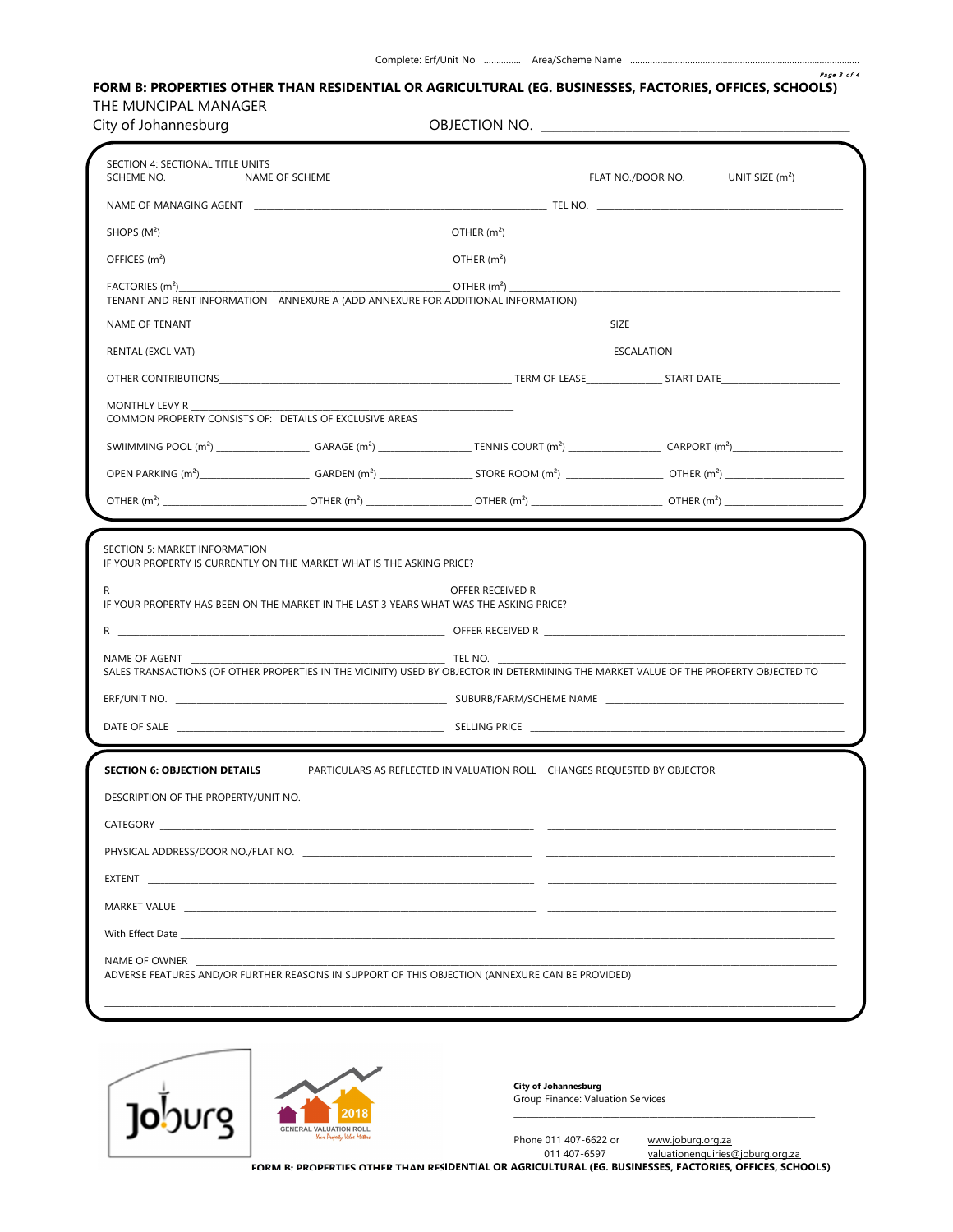Page 3 of 4

## FORM B: PROPERTIES OTHER THAN RESIDENTIAL OR AGRICULTURAL (EG. BUSINESSES, FACTORIES, OFFICES, SCHOOLS) THE MUNCIPAL MANAGER

|  | City of Johannesburg |
|--|----------------------|
|--|----------------------|

| FACTORIES (m <sup>2</sup> )________ | TENANT AND RENT INFORMATION - ANNEXURE A (ADD ANNEXURE FOR ADDITIONAL INFORMATION)                                                                                                                                                  |                                                                                         |                                                                                                                                       |  |
|-------------------------------------|-------------------------------------------------------------------------------------------------------------------------------------------------------------------------------------------------------------------------------------|-----------------------------------------------------------------------------------------|---------------------------------------------------------------------------------------------------------------------------------------|--|
|                                     |                                                                                                                                                                                                                                     |                                                                                         |                                                                                                                                       |  |
|                                     |                                                                                                                                                                                                                                     |                                                                                         |                                                                                                                                       |  |
|                                     |                                                                                                                                                                                                                                     |                                                                                         |                                                                                                                                       |  |
| MONTHLY LEVY R                      | COMMON PROPERTY CONSISTS OF: DETAILS OF EXCLUSIVE AREAS                                                                                                                                                                             |                                                                                         |                                                                                                                                       |  |
|                                     |                                                                                                                                                                                                                                     |                                                                                         |                                                                                                                                       |  |
|                                     |                                                                                                                                                                                                                                     |                                                                                         |                                                                                                                                       |  |
|                                     |                                                                                                                                                                                                                                     |                                                                                         |                                                                                                                                       |  |
|                                     | IF YOUR PROPERTY IS CURRENTLY ON THE MARKET WHAT IS THE ASKING PRICE?<br>IF YOUR PROPERTY HAS BEEN ON THE MARKET IN THE LAST 3 YEARS WHAT WAS THE ASKING PRICE?                                                                     |                                                                                         | R<br>OFFER RECEIVED R<br>OFFER RECEIVED R<br><sub>Offer</sub> Received R<br>OFFER RECEIVED R                                          |  |
|                                     | <b>EXAMPLE IN THE NO.</b> THE NO.                                                                                                                                                                                                   |                                                                                         | SALES TRANSACTIONS (OF OTHER PROPERTIES IN THE VICINITY) USED BY OBJECTOR IN DETERMINING THE MARKET VALUE OF THE PROPERTY OBJECTED TO |  |
| SECTION 5: MARKET INFORMATION       |                                                                                                                                                                                                                                     | DATE OF SALE And the state of the state of the state of the SELLING PRICE SELLING PRICE |                                                                                                                                       |  |
|                                     |                                                                                                                                                                                                                                     | PARTICULARS AS REFLECTED IN VALUATION ROLL CHANGES REQUESTED BY OBJECTOR                |                                                                                                                                       |  |
|                                     |                                                                                                                                                                                                                                     |                                                                                         |                                                                                                                                       |  |
|                                     |                                                                                                                                                                                                                                     |                                                                                         |                                                                                                                                       |  |
|                                     | CATEGORY <b>Example 20</b> Second 20 April 20 Second 20 April 20 Second 20 April 20 Second 20 April 20 Second 20 Second 20 Second 20 Second 20 Second 20 Second 20 Second 20 Second 20 Second 20 Second 20 Second 20 Second 20 Seco |                                                                                         |                                                                                                                                       |  |
|                                     |                                                                                                                                                                                                                                     |                                                                                         |                                                                                                                                       |  |
|                                     | EXTENT <b>EXTENSION</b>                                                                                                                                                                                                             |                                                                                         |                                                                                                                                       |  |
| <b>SECTION 6: OBJECTION DETAILS</b> | MARKET VALUE ET ALLERGIJK ON DE TANGER OG DE TANGER OG DE TANGER OG DE TANGER OG DET ALLERGIJKE OG DE TANGER O                                                                                                                      |                                                                                         |                                                                                                                                       |  |
| NAME OF OWNER                       |                                                                                                                                                                                                                                     |                                                                                         |                                                                                                                                       |  |



City of Johannesburg Group Finance: Valuation Services

Phone 011 407-6622 or

valuationenquiries@joburg.org.za

FORM B: PROPERTIES OTHER THAN RESIDENTIAL OR AGRICULTURAL (EG. BUSINESSES, FACTORIES, OFFICES, SCHOOLS)